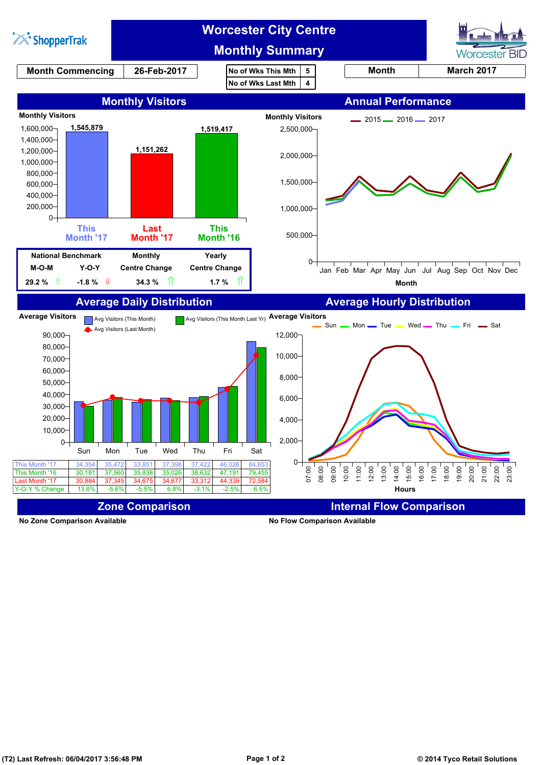

**No Zone Comparison Available No Flow Comparison Available**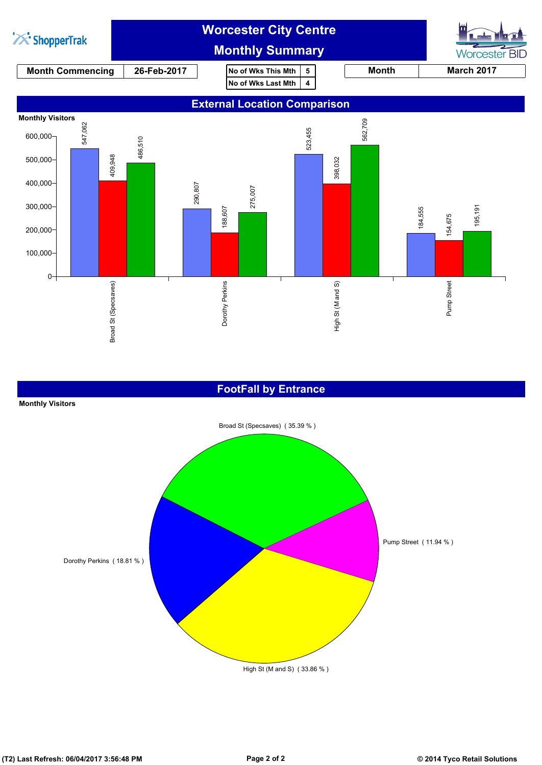

## **FootFall by Entrance**